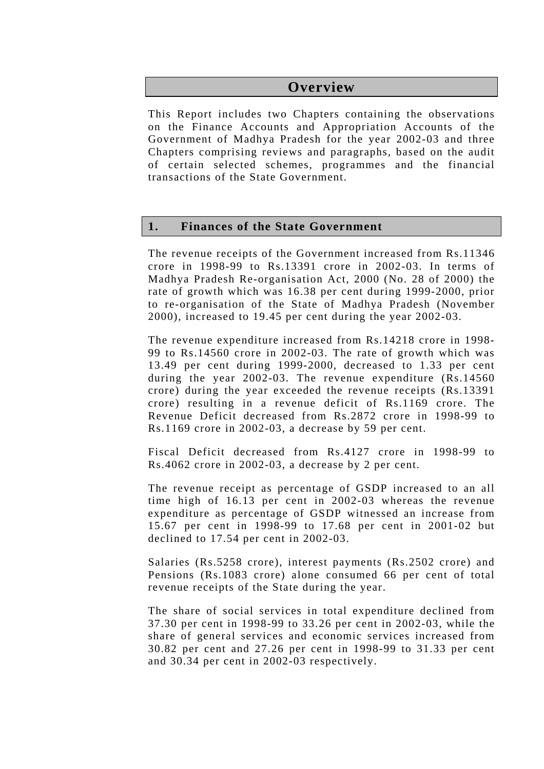## **Overview**

This Report includes two Chapters containing the observations on the Finance Accounts and Appropriation Accounts of the Government of Madhya Pradesh for the year 2002-03 and three Chapters comprising reviews and paragraphs, based on the audit of certain selected schemes, programmes and the financial transactions of the State Government.

#### **1. Finances of the State Government**

The revenue receipts of the Government increased from Rs.11346 crore in 1998-99 to Rs.13391 crore in 2002-03. In terms of Madhya Pradesh Re-organisation Act, 2000 (No. 28 of 2000) the rate of growth which was 16.38 per cent during 1999-2000, prior to re-organisation of the State of Madhya Pradesh (November 2000), increased to 19.45 per cent during the year 2002-03.

The revenue expenditure increased from Rs.14218 crore in 1998- 99 to Rs.14560 crore in 2002-03. The rate of growth which was 13.49 per cent during 1999-2000, decreased to 1.33 per cent during the year 2002-03. The revenue expenditure (Rs.14560 crore) during the year exceeded the revenue receipts (Rs.13391 crore) resulting in a revenue deficit of Rs.1169 crore. The Revenue Deficit decreased from Rs.2872 crore in 1998-99 to Rs.1169 crore in 2002-03, a decrease by 59 per cent.

Fiscal Deficit decreased from Rs.4127 crore in 1998-99 to Rs.4062 crore in 2002-03, a decrease by 2 per cent.

The revenue receipt as percentage of GSDP increased to an all time high of 16.13 per cent in 2002-03 whereas the revenue expenditure as percentage of GSDP witnessed an increase from 15.67 per cent in 1998-99 to 17.68 per cent in 2001-02 but declined to 17.54 per cent in 2002-03.

Salaries (Rs.5258 crore), interest payments (Rs.2502 crore) and Pensions (Rs.1083 crore) alone consumed 66 per cent of total revenue receipts of the State during the year.

The share of social services in total expenditure declined from 37.30 per cent in 1998-99 to 33.26 per cent in 2002-03, while the share of general services and economic services increased from 30.82 per cent and 27.26 per cent in 1998-99 to 31.33 per cent and 30.34 per cent in 2002-03 respectively.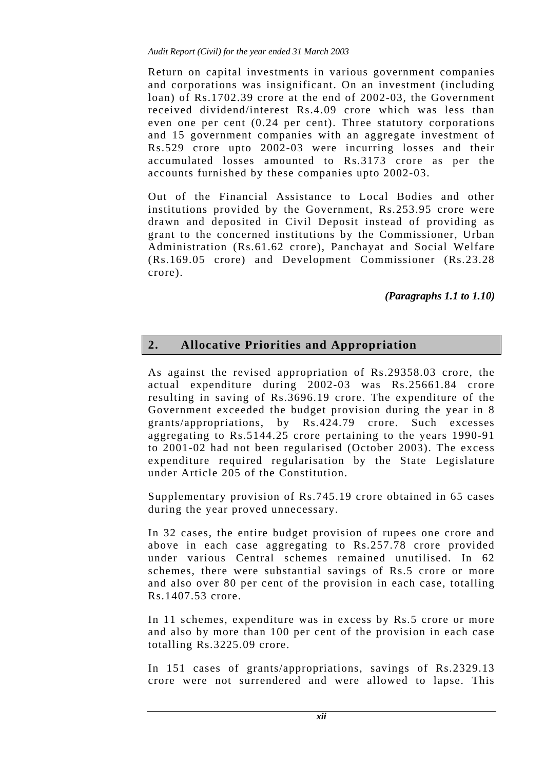Return on capital investments in various government companies and corporations was insignificant. On an investment (including loan) of Rs.1702.39 crore at the end of 2002-03, the Government received dividend/interest Rs.4.09 crore which was less than even one per cent (0.24 per cent). Three statutory corporations and 15 government companies with an aggregate investment of Rs.529 crore upto 2002-03 were incurring losses and their accumulated losses amounted to Rs.3173 crore as per the accounts furnished by these companies upto 2002-03.

Out of the Financial Assistance to Local Bodies and other institutions provided by the Government, Rs.253.95 crore were drawn and deposited in Civil Deposit instead of providing as grant to the concerned institutions by the Commissioner, Urban Administration (Rs.61.62 crore), Panchayat and Social Welfare (Rs.169.05 crore) and Development Commissioner (Rs.23.28 crore).

*(Paragraphs 1.1 to 1.10)* 

# **2. Allocative Priorities and Appropriation**

As against the revised appropriation of Rs.29358.03 crore, the actual expenditure during 2002-03 was Rs.25661.84 crore resulting in saving of Rs.3696.19 crore. The expenditure of the Government exceeded the budget provision during the year in 8 grants/appropriations, by Rs.424.79 crore. Such excesses aggregating to Rs.5144.25 crore pertaining to the years 1990-91 to 2001-02 had not been regularised (October 2003). The excess expenditure required regularisation by the State Legislature under Article 205 of the Constitution.

Supplementary provision of Rs.745.19 crore obtained in 65 cases during the year proved unnecessary.

In 32 cases, the entire budget provision of rupees one crore and above in each case aggregating to Rs.257.78 crore provided under various Central schemes remained unutilised. In 62 schemes, there were substantial savings of Rs.5 crore or more and also over 80 per cent of the provision in each case, totalling Rs.1407.53 crore.

In 11 schemes, expenditure was in excess by Rs.5 crore or more and also by more than 100 per cent of the provision in each case totalling Rs.3225.09 crore.

In 151 cases of grants/appropriations, savings of Rs.2329.13 crore were not surrendered and were allowed to lapse. This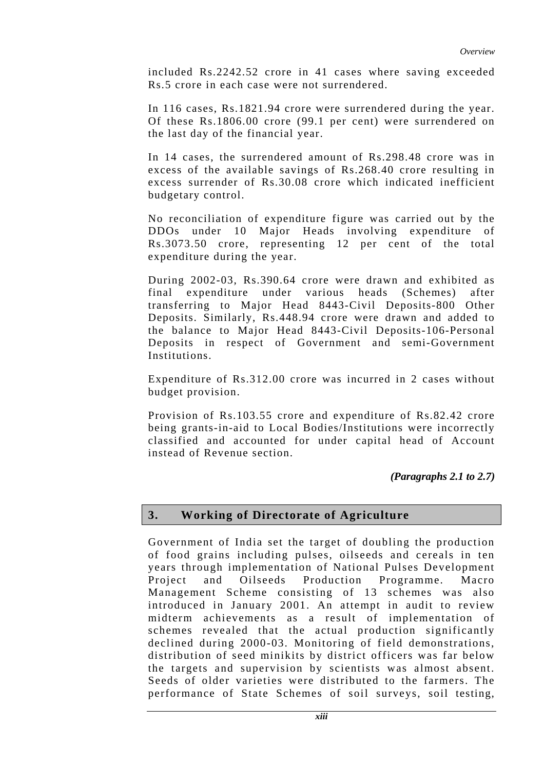included Rs.2242.52 crore in 41 cases where saving exceeded Rs.5 crore in each case were not surrendered.

In 116 cases, Rs.1821.94 crore were surrendered during the year. Of these Rs.1806.00 crore (99.1 per cent) were surrendered on the last day of the financial year.

In 14 cases, the surrendered amount of Rs.298.48 crore was in excess of the available savings of Rs.268.40 crore resulting in excess surrender of Rs.30.08 crore which indicated inefficient budgetary control.

No reconciliation of expenditure figure was carried out by the DDOs under 10 Major Heads involving expenditure of Rs.3073.50 crore, representing 12 per cent of the total expenditure during the year.

During 2002-03, Rs.390.64 crore were drawn and exhibited as final expenditure under various heads (Schemes) after transferring to Major Head 8443-Civil Deposits-800 Other Deposits. Similarly, Rs.448.94 crore were drawn and added to the balance to Major Head 8443-Civil Deposits-106-Personal Deposits in respect of Government and semi-Government Institutions.

Expenditure of Rs.312.00 crore was incurred in 2 cases without budget provision.

Provision of Rs.103.55 crore and expenditure of Rs.82.42 crore being grants-in-aid to Local Bodies/Institutions were incorrectly classified and accounted for under capital head of Account instead of Revenue section.

*(Paragraphs 2.1 to 2.7)* 

### **3. Working of Directorate of Agriculture**

Government of India set the target of doubling the production of food grains including pulses, oilseeds and cereals in ten years through implementation of National Pulses Development Project and Oilseeds Production Programme. Macro Management Scheme consisting of 13 schemes was also introduced in January 2001. An attempt in audit to review midterm achievements as a result of implementation of schemes revealed that the actual production significantly declined during 2000-03. Monitoring of field demonstrations, distribution of seed minikits by district officers was far below the targets and supervision by scientists was almost absent. Seeds of older varieties were distributed to the farmers. The performance of State Schemes of soil surveys, soil testing,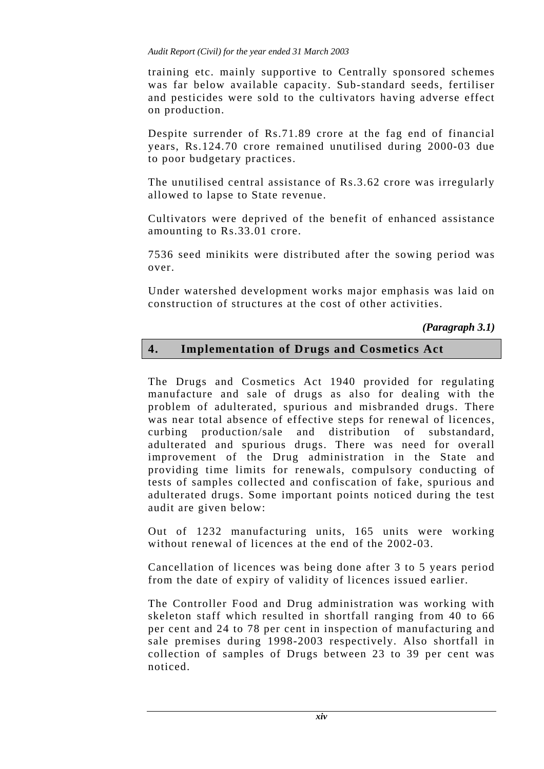#### *Audit Report (Civil) for the year ended 31 March 2003*

training etc. mainly supportive to Centrally sponsored schemes was far below available capacity. Sub-standard seeds, fertiliser and pesticides were sold to the cultivators having adverse effect on production.

Despite surrender of Rs.71.89 crore at the fag end of financial years, Rs.124.70 crore remained unutilised during 2000-03 due to poor budgetary practices.

The unutilised central assistance of Rs.3.62 crore was irregularly allowed to lapse to State revenue.

Cultivators were deprived of the benefit of enhanced assistance amounting to Rs.33.01 crore.

7536 seed minikits were distributed after the sowing period was over.

Under watershed development works major emphasis was laid on construction of structures at the cost of other activities.

*(Paragraph 3.1)* 

## **4. Implementation of Drugs and Cosmetics Act**

The Drugs and Cosmetics Act 1940 provided for regulating manufacture and sale of drugs as also for dealing with the problem of adulterated, spurious and misbranded drugs. There was near total absence of effective steps for renewal of licences, curbing production/sale and distribution of substandard, adulterated and spurious drugs. There was need for overall improvement of the Drug administration in the State and providing time limits for renewals, compulsory conducting of tests of samples collected and confiscation of fake, spurious and adulterated drugs. Some important points noticed during the test audit are given below:

Out of 1232 manufacturing units, 165 units were working without renewal of licences at the end of the 2002-03.

Cancellation of licences was being done after 3 to 5 years period from the date of expiry of validity of licences issued earlier.

The Controller Food and Drug administration was working with skeleton staff which resulted in shortfall ranging from 40 to 66 per cent and 24 to 78 per cent in inspection of manufacturing and sale premises during 1998-2003 respectively. Also shortfall in collection of samples of Drugs between 23 to 39 per cent was noticed.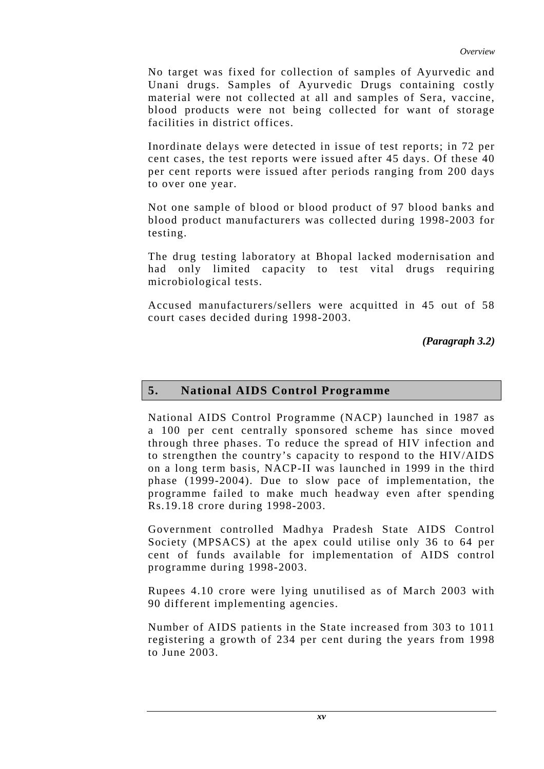No target was fixed for collection of samples of Ayurvedic and Unani drugs. Samples of Ayurvedic Drugs containing costly material were not collected at all and samples of Sera, vaccine, blood products were not being collected for want of storage facilities in district offices.

Inordinate delays were detected in issue of test reports; in 72 per cent cases, the test reports were issued after 45 days. Of these 40 per cent reports were issued after periods ranging from 200 days to over one year.

Not one sample of blood or blood product of 97 blood banks and blood product manufacturers was collected during 1998-2003 for testing.

The drug testing laboratory at Bhopal lacked modernisation and had only limited capacity to test vital drugs requiring microbiological tests.

Accused manufacturers/sellers were acquitted in 45 out of 58 court cases decided during 1998-2003.

*(Paragraph 3.2)* 

## **5. National AIDS Control Programme**

National AIDS Control Programme (NACP) launched in 1987 as a 100 per cent centrally sponsored scheme has since moved through three phases. To reduce the spread of HIV infection and to strengthen the country's capacity to respond to the HIV/AIDS on a long term basis, NACP-II was launched in 1999 in the third phase (1999-2004). Due to slow pace of implementation, the programme failed to make much headway even after spending Rs.19.18 crore during 1998-2003.

Government controlled Madhya Pradesh State AIDS Control Society (MPSACS) at the apex could utilise only 36 to 64 per cent of funds available for implementation of AIDS control programme during 1998-2003.

Rupees 4.10 crore were lying unutilised as of March 2003 with 90 different implementing agencies.

Number of AIDS patients in the State increased from 303 to 1011 registering a growth of 234 per cent during the years from 1998 to June 2003.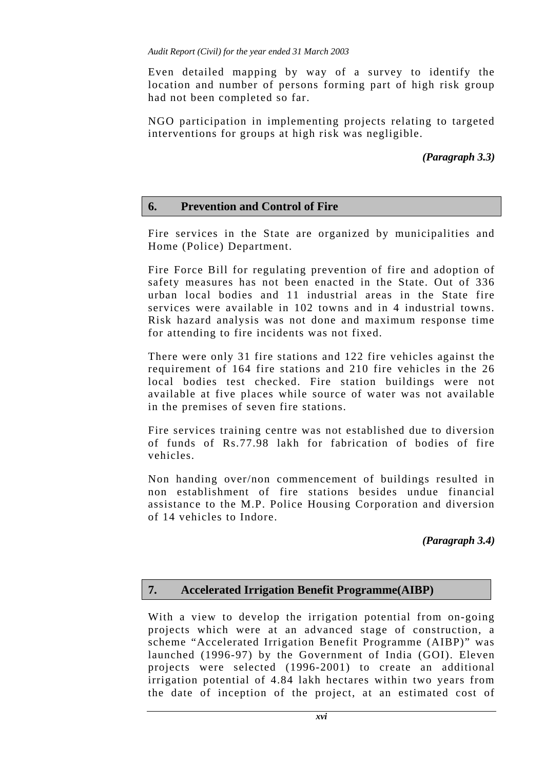Even detailed mapping by way of a survey to identify the location and number of persons forming part of high risk group had not been completed so far.

NGO participation in implementing projects relating to targeted interventions for groups at high risk was negligible.

### *(Paragraph 3.3)*

### **6. Prevention and Control of Fire**

Fire services in the State are organized by municipalities and Home (Police) Department.

Fire Force Bill for regulating prevention of fire and adoption of safety measures has not been enacted in the State. Out of 336 urban local bodies and 11 industrial areas in the State fire services were available in 102 towns and in 4 industrial towns. Risk hazard analysis was not done and maximum response time for attending to fire incidents was not fixed.

There were only 31 fire stations and 122 fire vehicles against the requirement of 164 fire stations and 210 fire vehicles in the 26 local bodies test checked. Fire station buildings were not available at five places while source of water was not available in the premises of seven fire stations.

Fire services training centre was not established due to diversion of funds of Rs.77.98 lakh for fabrication of bodies of fire vehicles.

Non handing over/non commencement of buildings resulted in non establishment of fire stations besides undue financial assistance to the M.P. Police Housing Corporation and diversion of 14 vehicles to Indore.

*(Paragraph 3.4)*

### **7. Accelerated Irrigation Benefit Programme(AIBP)**

With a view to develop the irrigation potential from on-going projects which were at an advanced stage of construction, a scheme "Accelerated Irrigation Benefit Programme (AIBP)" was launched (1996-97) by the Government of India (GOI). Eleven projects were selected (1996-2001) to create an additional irrigation potential of 4.84 lakh hectares within two years from the date of inception of the project, at an estimated cost of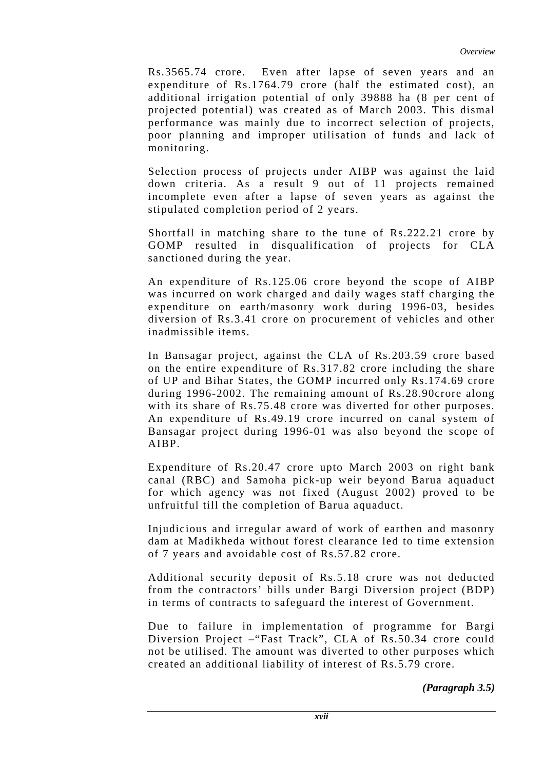Rs.3565.74 crore. Even after lapse of seven years and an expenditure of Rs.1764.79 crore (half the estimated cost), an additional irrigation potential of only 39888 ha (8 per cent of projected potential) was created as of March 2003. This dismal performance was mainly due to incorrect selection of projects, poor planning and improper utilisation of funds and lack of monitoring.

Selection process of projects under AIBP was against the laid down criteria. As a result 9 out of 11 projects remained incomplete even after a lapse of seven years as against the stipulated completion period of 2 years.

Shortfall in matching share to the tune of Rs.222.21 crore by GOMP resulted in disqualification of projects for CLA sanctioned during the year.

An expenditure of Rs.125.06 crore beyond the scope of AIBP was incurred on work charged and daily wages staff charging the expenditure on earth/masonry work during 1996-03, besides diversion of Rs.3.41 crore on procurement of vehicles and other inadmissible items.

In Bansagar project, against the CLA of Rs.203.59 crore based on the entire expenditure of Rs.317.82 crore including the share of UP and Bihar States, the GOMP incurred only Rs.174.69 crore during 1996-2002. The remaining amount of Rs.28.90crore along with its share of Rs.75.48 crore was diverted for other purposes. An expenditure of Rs.49.19 crore incurred on canal system of Bansagar project during 1996-01 was also beyond the scope of AIBP.

Expenditure of Rs.20.47 crore upto March 2003 on right bank canal (RBC) and Samoha pick-up weir beyond Barua aquaduct for which agency was not fixed (August 2002) proved to be unfruitful till the completion of Barua aquaduct.

Injudicious and irregular award of work of earthen and masonry dam at Madikheda without forest clearance led to time extension of 7 years and avoidable cost of Rs.57.82 crore.

Additional security deposit of Rs.5.18 crore was not deducted from the contractors' bills under Bargi Diversion project (BDP) in terms of contracts to safeguard the interest of Government.

Due to failure in implementation of programme for Bargi Diversion Project –"Fast Track", CLA of Rs.50.34 crore could not be utilised. The amount was diverted to other purposes which created an additional liability of interest of Rs.5.79 crore.

*(Paragraph 3.5)*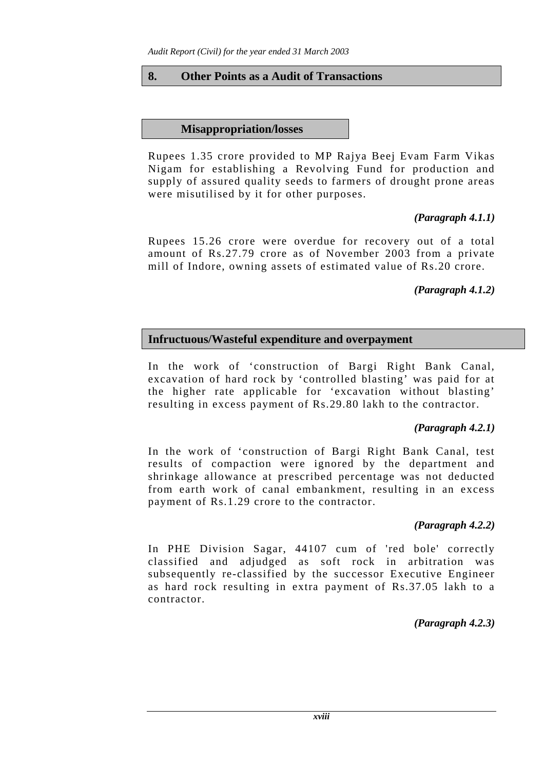### **8. Other Points as a Audit of Transactions**

### **Misappropriation/losses**

Rupees 1.35 crore provided to MP Rajya Beej Evam Farm Vikas Nigam for establishing a Revolving Fund for production and supply of assured quality seeds to farmers of drought prone areas were misutilised by it for other purposes.

# *(Paragraph 4.1.1)*

Rupees 15.26 crore were overdue for recovery out of a total amount of Rs.27.79 crore as of November 2003 from a private mill of Indore, owning assets of estimated value of Rs.20 crore.

## *(Paragraph 4.1.2)*

## **Infructuous/Wasteful expenditure and overpayment**

In the work of 'construction of Bargi Right Bank Canal, excavation of hard rock by 'controlled blasting' was paid for at the higher rate applicable for 'excavation without blasting' resulting in excess payment of Rs.29.80 lakh to the contractor.

## *(Paragraph 4.2.1)*

In the work of 'construction of Bargi Right Bank Canal, test results of compaction were ignored by the department and shrinkage allowance at prescribed percentage was not deducted from earth work of canal embankment, resulting in an excess payment of Rs.1.29 crore to the contractor.

## *(Paragraph 4.2.2)*

In PHE Division Sagar, 44107 cum of 'red bole' correctly classified and adjudged as soft rock in arbitration was subsequently re-classified by the successor Executive Engineer as hard rock resulting in extra payment of Rs.37.05 lakh to a contractor.

## *(Paragraph 4.2.3)*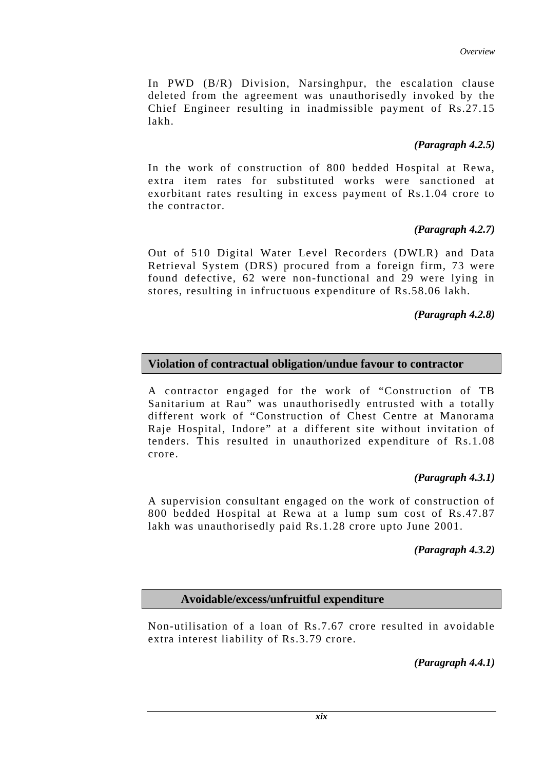In PWD (B/R) Division, Narsinghpur, the escalation clause deleted from the agreement was unauthorisedly invoked by the Chief Engineer resulting in inadmissible payment of Rs.27.15 lakh.

## *(Paragraph 4.2.5)*

In the work of construction of 800 bedded Hospital at Rewa, extra item rates for substituted works were sanctioned at exorbitant rates resulting in excess payment of Rs.1.04 crore to the contractor.

## *(Paragraph 4.2.7)*

Out of 510 Digital Water Level Recorders (DWLR) and Data Retrieval System (DRS) procured from a foreign firm, 73 were found defective, 62 were non-functional and 29 were lying in stores, resulting in infructuous expenditure of Rs.58.06 lakh.

### *(Paragraph 4.2.8)*

### **Violation of contractual obligation/undue favour to contractor**

A contractor engaged for the work of "Construction of TB Sanitarium at Rau" was unauthorisedly entrusted with a totally different work of "Construction of Chest Centre at Manorama Raje Hospital, Indore" at a different site without invitation of tenders. This resulted in unauthorized expenditure of Rs.1.08 crore.

### *(Paragraph 4.3.1)*

A supervision consultant engaged on the work of construction of 800 bedded Hospital at Rewa at a lump sum cost of Rs.47.87 lakh was unauthorisedly paid Rs.1.28 crore upto June 2001.

### *(Paragraph 4.3.2)*

### **Avoidable/excess/unfruitful expenditure**

Non-utilisation of a loan of Rs.7.67 crore resulted in avoidable extra interest liability of Rs.3.79 crore.

*(Paragraph 4.4.1)*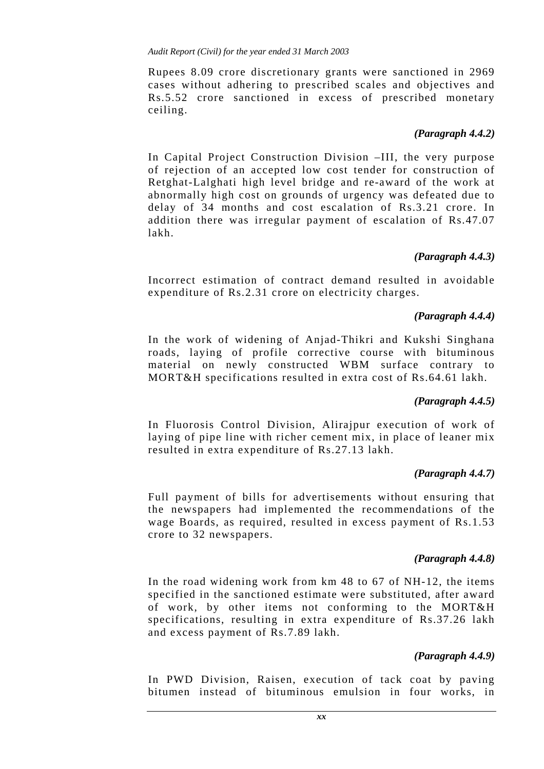*Audit Report (Civil) for the year ended 31 March 2003* 

Rupees 8.09 crore discretionary grants were sanctioned in 2969 cases without adhering to prescribed scales and objectives and Rs.5.52 crore sanctioned in excess of prescribed monetary ceiling.

### *(Paragraph 4.4.2)*

In Capital Project Construction Division –III, the very purpose of rejection of an accepted low cost tender for construction of Retghat-Lalghati high level bridge and re-award of the work at abnormally high cost on grounds of urgency was defeated due to delay of 34 months and cost escalation of Rs.3.21 crore. In addition there was irregular payment of escalation of Rs.47.07 lakh.

### *(Paragraph 4.4.3)*

Incorrect estimation of contract demand resulted in avoidable expenditure of Rs.2.31 crore on electricity charges.

### *(Paragraph 4.4.4)*

In the work of widening of Anjad-Thikri and Kukshi Singhana roads, laying of profile corrective course with bituminous material on newly constructed WBM surface contrary to MORT&H specifications resulted in extra cost of Rs.64.61 lakh.

### *(Paragraph 4.4.5)*

In Fluorosis Control Division, Alirajpur execution of work of laying of pipe line with richer cement mix, in place of leaner mix resulted in extra expenditure of Rs.27.13 lakh.

### *(Paragraph 4.4.7)*

Full payment of bills for advertisements without ensuring that the newspapers had implemented the recommendations of the wage Boards, as required, resulted in excess payment of Rs.1.53 crore to 32 newspapers.

#### *(Paragraph 4.4.8)*

In the road widening work from km 48 to 67 of NH-12, the items specified in the sanctioned estimate were substituted, after award of work, by other items not conforming to the MORT&H specifications, resulting in extra expenditure of Rs.37.26 lakh and excess payment of Rs.7.89 lakh.

#### *(Paragraph 4.4.9)*

In PWD Division, Raisen, execution of tack coat by paving bitumen instead of bituminous emulsion in four works, in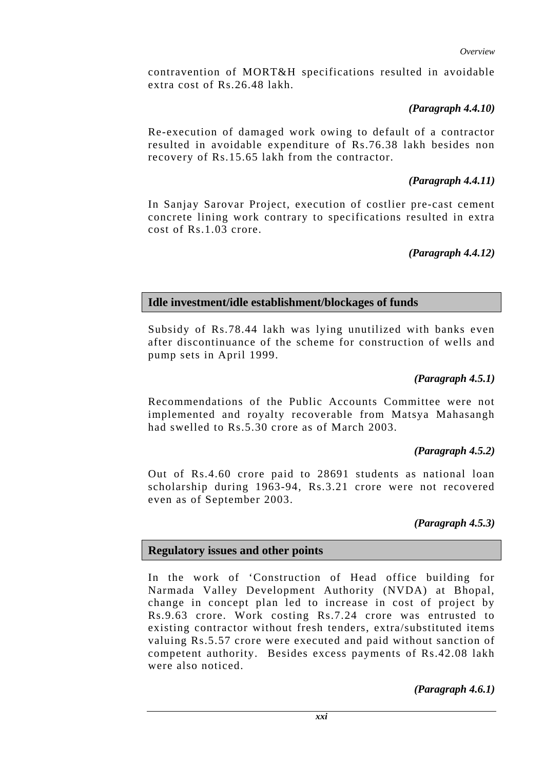*Overview* 

contravention of MORT&H specifications resulted in avoidable extra cost of Rs.26.48 lakh.

## *(Paragraph 4.4.10)*

Re-execution of damaged work owing to default of a contractor resulted in avoidable expenditure of Rs.76.38 lakh besides non recovery of Rs.15.65 lakh from the contractor.

## *(Paragraph 4.4.11)*

In Sanjay Sarovar Project, execution of costlier pre-cast cement concrete lining work contrary to specifications resulted in extra cost of Rs.1.03 crore.

## *(Paragraph 4.4.12)*

## **Idle investment/idle establishment/blockages of funds**

Subsidy of Rs.78.44 lakh was lying unutilized with banks even after discontinuance of the scheme for construction of wells and pump sets in April 1999.

## *(Paragraph 4.5.1)*

Recommendations of the Public Accounts Committee were not implemented and royalty recoverable from Matsya Mahasangh had swelled to Rs.5.30 crore as of March 2003.

### *(Paragraph 4.5.2)*

Out of Rs.4.60 crore paid to 28691 students as national loan scholarship during 1963-94, Rs.3.21 crore were not recovered even as of September 2003.

## *(Paragraph 4.5.3)*

## **Regulatory issues and other points**

In the work of 'Construction of Head office building for Narmada Valley Development Authority (NVDA) at Bhopal, change in concept plan led to increase in cost of project by Rs.9.63 crore. Work costing Rs.7.24 crore was entrusted to existing contractor without fresh tenders, extra/substituted items valuing Rs.5.57 crore were executed and paid without sanction of competent authority. Besides excess payments of Rs.42.08 lakh were also noticed.

*(Paragraph 4.6.1)*